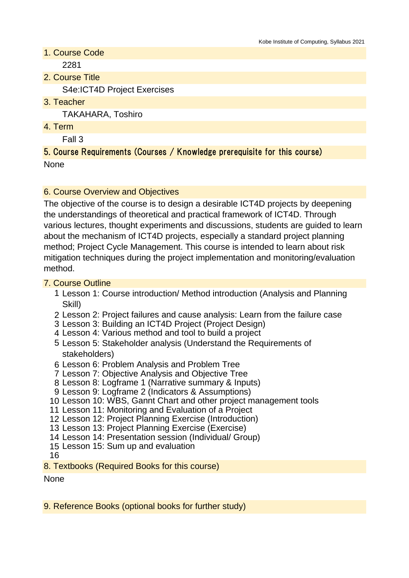- 1. Course Code 2281
- 2. Course Title

S4e:ICT4D Project Exercises

3. Teacher

TAKAHARA, Toshiro

4. Term

Fall 3

5. Course Requirements (Courses / Knowledge prerequisite for this course) None

#### 6. Course Overview and Objectives

The objective of the course is to design a desirable ICT4D projects by deepening the understandings of theoretical and practical framework of ICT4D. Through various lectures, thought experiments and discussions, students are guided to learn about the mechanism of ICT4D projects, especially a standard project planning method; Project Cycle Management. This course is intended to learn about risk mitigation techniques during the project implementation and monitoring/evaluation method.

#### 7. Course Outline

- 1 Lesson 1: Course introduction/ Method introduction (Analysis and Planning Skill)
- 2 Lesson 2: Project failures and cause analysis: Learn from the failure case
- 3 Lesson 3: Building an ICT4D Project (Project Design)
- 4 Lesson 4: Various method and tool to build a project
- 5 Lesson 5: Stakeholder analysis (Understand the Requirements of stakeholders)
- 6 Lesson 6: Problem Analysis and Problem Tree
- 7 Lesson 7: Objective Analysis and Objective Tree
- 8 Lesson 8: Logframe 1 (Narrative summary & Inputs)
- 9 Lesson 9: Logframe 2 (Indicators & Assumptions)
- 10 Lesson 10: WBS, Gannt Chart and other project management tools
- 11 Lesson 11: Monitoring and Evaluation of a Project
- 12 Lesson 12: Project Planning Exercise (Introduction)
- 13 Lesson 13: Project Planning Exercise (Exercise)
- 14 Lesson 14: Presentation session (Individual/ Group)
- 15 Lesson 15: Sum up and evaluation

16

8. Textbooks (Required Books for this course)

None

#### 9. Reference Books (optional books for further study)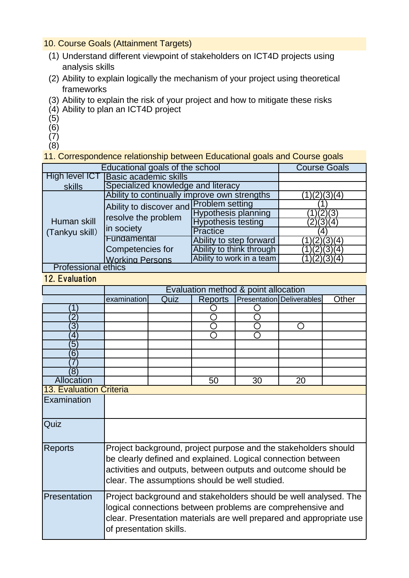# 10. Course Goals (Attainment Targets)

- (1) Understand different viewpoint of stakeholders on ICT4D projects using analysis skills
- (2) Ability to explain logically the mechanism of your project using theoretical frameworks
- (3) Ability to explain the risk of your project and how to mitigate these risks
- (4) Ability to plan an ICT4D project
- (5)
- $(6)$
- $(7)$
- (8)

11. Correspondence relationship between Educational goals and Course goals

| Educational goals of the school | <b>Course Goals</b>                          |                            |           |
|---------------------------------|----------------------------------------------|----------------------------|-----------|
| High level ICT                  |                                              |                            |           |
| skills                          | Specialized knowledge and literacy           |                            |           |
| Human skill<br>(Tankyu skill)   | Ability to continually improve own strengths | (2)(3)(4)                  |           |
|                                 | Ability to discover and Problem setting      |                            |           |
|                                 | resolve the problem<br>in society            | <b>Hypothesis planning</b> |           |
|                                 |                                              | <b>Hypothesis testing</b>  | (2)(3)(4) |
|                                 |                                              | Practice                   |           |
|                                 | Fundamental                                  | Ability to step forward    | (2)(3)(4) |
|                                 | Competencies for                             | Ability to think through   | (2)(3)(4) |
|                                 | <b>Working Persons</b>                       | Ability to work in a team  | (2)(3)(4) |
| <b>Professional ethics</b>      |                                              |                            |           |

12. Evaluation

| Evaluation method & point allocation                                                                                          |                                |                         |    |                |                                                                                                                                                                                                                                                                                                        |  |  |  |  |  |
|-------------------------------------------------------------------------------------------------------------------------------|--------------------------------|-------------------------|----|----------------|--------------------------------------------------------------------------------------------------------------------------------------------------------------------------------------------------------------------------------------------------------------------------------------------------------|--|--|--|--|--|
| examination                                                                                                                   | Quiz                           | <b>Reports</b>          |    |                | Other                                                                                                                                                                                                                                                                                                  |  |  |  |  |  |
|                                                                                                                               |                                |                         |    |                |                                                                                                                                                                                                                                                                                                        |  |  |  |  |  |
|                                                                                                                               |                                |                         |    |                |                                                                                                                                                                                                                                                                                                        |  |  |  |  |  |
|                                                                                                                               |                                |                         |    | $\blacksquare$ |                                                                                                                                                                                                                                                                                                        |  |  |  |  |  |
|                                                                                                                               |                                |                         |    |                |                                                                                                                                                                                                                                                                                                        |  |  |  |  |  |
|                                                                                                                               |                                |                         |    |                |                                                                                                                                                                                                                                                                                                        |  |  |  |  |  |
|                                                                                                                               |                                |                         |    |                |                                                                                                                                                                                                                                                                                                        |  |  |  |  |  |
|                                                                                                                               |                                |                         |    |                |                                                                                                                                                                                                                                                                                                        |  |  |  |  |  |
|                                                                                                                               |                                |                         |    |                |                                                                                                                                                                                                                                                                                                        |  |  |  |  |  |
|                                                                                                                               |                                |                         |    |                |                                                                                                                                                                                                                                                                                                        |  |  |  |  |  |
|                                                                                                                               |                                |                         |    |                |                                                                                                                                                                                                                                                                                                        |  |  |  |  |  |
|                                                                                                                               |                                |                         |    |                |                                                                                                                                                                                                                                                                                                        |  |  |  |  |  |
|                                                                                                                               |                                |                         |    |                |                                                                                                                                                                                                                                                                                                        |  |  |  |  |  |
|                                                                                                                               |                                |                         |    |                |                                                                                                                                                                                                                                                                                                        |  |  |  |  |  |
|                                                                                                                               |                                |                         |    |                |                                                                                                                                                                                                                                                                                                        |  |  |  |  |  |
|                                                                                                                               |                                |                         |    |                |                                                                                                                                                                                                                                                                                                        |  |  |  |  |  |
| be clearly defined and explained. Logical connection between<br>activities and outputs, between outputs and outcome should be |                                |                         |    |                |                                                                                                                                                                                                                                                                                                        |  |  |  |  |  |
|                                                                                                                               |                                |                         |    |                |                                                                                                                                                                                                                                                                                                        |  |  |  |  |  |
|                                                                                                                               |                                |                         |    |                |                                                                                                                                                                                                                                                                                                        |  |  |  |  |  |
| logical connections between problems are comprehensive and                                                                    |                                |                         |    |                |                                                                                                                                                                                                                                                                                                        |  |  |  |  |  |
|                                                                                                                               |                                |                         |    |                |                                                                                                                                                                                                                                                                                                        |  |  |  |  |  |
|                                                                                                                               |                                |                         |    |                |                                                                                                                                                                                                                                                                                                        |  |  |  |  |  |
|                                                                                                                               | <b>13. Evaluation Criteria</b> | of presentation skills. | 50 | 30             | <b>Presentation Deliverables</b><br>20<br>Project background, project purpose and the stakeholders should<br>clear. The assumptions should be well studied.<br>Project background and stakeholders should be well analysed. The<br>clear. Presentation materials are well prepared and appropriate use |  |  |  |  |  |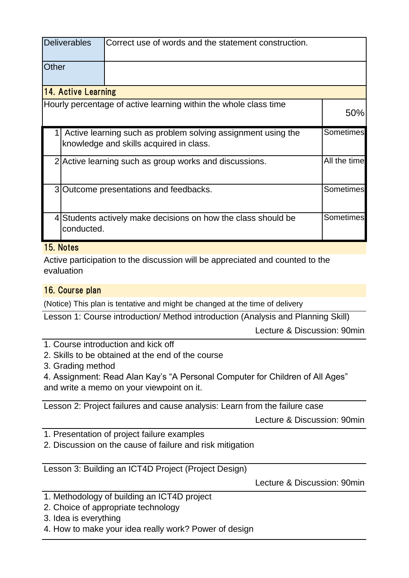|                            | <b>Deliverables</b> | Correct use of words and the statement construction.                                                    |                  |  |  |  |
|----------------------------|---------------------|---------------------------------------------------------------------------------------------------------|------------------|--|--|--|
| Other                      |                     |                                                                                                         |                  |  |  |  |
| <b>14. Active Learning</b> |                     |                                                                                                         |                  |  |  |  |
|                            |                     | Hourly percentage of active learning within the whole class time                                        | 50%              |  |  |  |
|                            |                     | Active learning such as problem solving assignment using the<br>knowledge and skills acquired in class. | Sometimes        |  |  |  |
|                            |                     | 2 Active learning such as group works and discussions.                                                  | All the time     |  |  |  |
|                            |                     | 3 Outcome presentations and feedbacks.                                                                  | <b>Sometimes</b> |  |  |  |
|                            | conducted.          | 4 Students actively make decisions on how the class should be                                           | <b>Sometimes</b> |  |  |  |

# 15. Notes

Active participation to the discussion will be appreciated and counted to the evaluation

### 16. Course plan

(Notice) This plan is tentative and might be changed at the time of delivery

Lesson 1: Course introduction/ Method introduction (Analysis and Planning Skill)

Lecture & Discussion: 90min

- 1. Course introduction and kick off
- 2. Skills to be obtained at the end of the course
- 3. Grading method

4. Assignment: Read Alan Kay's "A Personal Computer for Children of All Ages" and write a memo on your viewpoint on it.

Lesson 2: Project failures and cause analysis: Learn from the failure case

Lecture & Discussion: 90min

- 1. Presentation of project failure examples
- 2. Discussion on the cause of failure and risk mitigation

Lesson 3: Building an ICT4D Project (Project Design)

Lecture & Discussion: 90min

- 1. Methodology of building an ICT4D project
- 2. Choice of appropriate technology
- 3. Idea is everything
- 4. How to make your idea really work? Power of design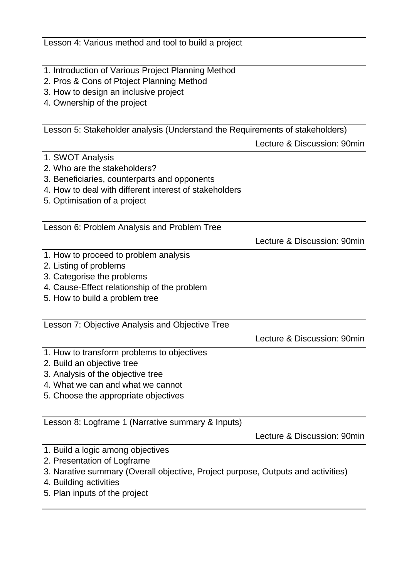Lesson 4: Various method and tool to build a project

- 1. Introduction of Various Project Planning Method
- 2. Pros & Cons of Ptoject Planning Method
- 3. How to design an inclusive project
- 4. Ownership of the project

Lesson 5: Stakeholder analysis (Understand the Requirements of stakeholders)

Lecture & Discussion: 90min

- 1. SWOT Analysis
- 2. Who are the stakeholders?
- 3. Beneficiaries, counterparts and opponents
- 4. How to deal with different interest of stakeholders
- 5. Optimisation of a project

Lesson 6: Problem Analysis and Problem Tree

Lecture & Discussion: 90min

- 1. How to proceed to problem analysis
- 2. Listing of problems
- 3. Categorise the problems
- 4. Cause-Effect relationship of the problem
- 5. How to build a problem tree

Lesson 7: Objective Analysis and Objective Tree

Lecture & Discussion: 90min

- 1. How to transform problems to objectives
- 2. Build an objective tree
- 3. Analysis of the objective tree
- 4. What we can and what we cannot
- 5. Choose the appropriate objectives

Lesson 8: Logframe 1 (Narrative summary & Inputs)

Lecture & Discussion: 90min

- 1. Build a logic among objectives
- 2. Presentation of Logframe
- 3. Narative summary (Overall objective, Project purpose, Outputs and activities)
- 4. Building activities
- 5. Plan inputs of the project